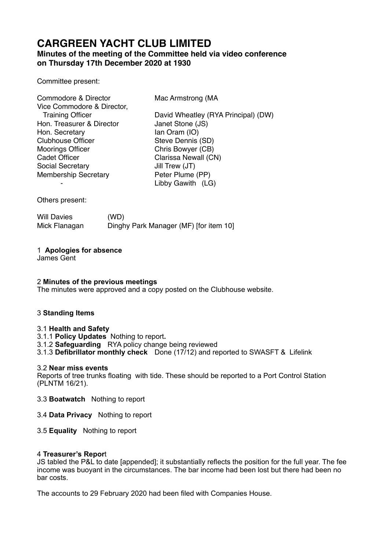# **CARGREEN YACHT CLUB LIMITED**

# **Minutes of the meeting of the Committee held via video conference on Thursday 17th December 2020 at 1930**

Committee present:

| Commodore & Director        | Mac Armstrong (MA                   |
|-----------------------------|-------------------------------------|
| Vice Commodore & Director,  |                                     |
| <b>Training Officer</b>     | David Wheatley (RYA Principal) (DW) |
| Hon. Treasurer & Director   | Janet Stone (JS)                    |
| Hon. Secretary              | lan Oram (IO)                       |
| <b>Clubhouse Officer</b>    | Steve Dennis (SD)                   |
| <b>Moorings Officer</b>     | Chris Bowyer (CB)                   |
| <b>Cadet Officer</b>        | Clarissa Newall (CN)                |
| <b>Social Secretary</b>     | Jill Trew (JT)                      |
| <b>Membership Secretary</b> | Peter Plume (PP)                    |
|                             | Libby Gawith (LG)                   |

Others present:

Will Davies (WD) Mick Flanagan Dinghy Park Manager (MF) [for item 10]

# 1 **Apologies for absence**

James Gent

## 2 **Minutes of the previous meetings**

The minutes were approved and a copy posted on the Clubhouse website.

## 3 **Standing Items**

## 3.1 **Health and Safety**

- 3.1.1 **Policy Updates** Nothing to report**.**
- 3.1.2 **Safeguarding** RYA policy change being reviewed
- 3.1.3 **Defibrillator monthly check** Done (17/12) and reported to SWASFT & Lifelink

## 3.2 **Near miss events**

Reports of tree trunks floating with tide. These should be reported to a Port Control Station (PLNTM 16/21).

3.3 **Boatwatch** Nothing to report

- 3.4 **Data Privacy** Nothing to report
- 3.5 **Equality** Nothing to report

## 4 **Treasurer's Repor**t

JS tabled the P&L to date [appended]; it substantially reflects the position for the full year. The fee income was buoyant in the circumstances. The bar income had been lost but there had been no bar costs.

The accounts to 29 February 2020 had been filed with Companies House.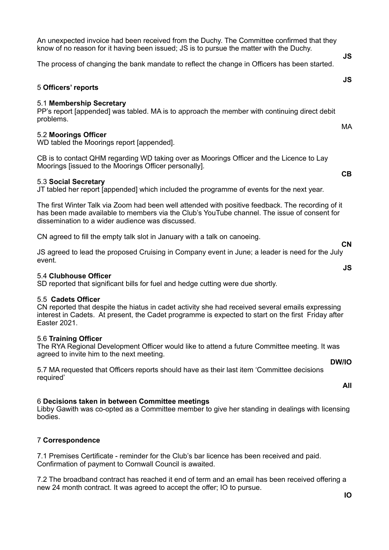**IO** 

An unexpected invoice had been received from the Duchy. The Committee confirmed that they know of no reason for it having been issued; JS is to pursue the matter with the Duchy.

The process of changing the bank mandate to reflect the change in Officers has been started.

# 5 **Officers' reports**

## 5.1 **Membership Secretary**

PP's report [appended] was tabled. MA is to approach the member with continuing direct debit problems.

# 5.2 **Moorings Officer**

WD tabled the Moorings report [appended].

CB is to contact QHM regarding WD taking over as Moorings Officer and the Licence to Lay Moorings [issued to the Moorings Officer personally].

# 5.3 **Social Secretary**

JT tabled her report [appended] which included the programme of events for the next year.

The first Winter Talk via Zoom had been well attended with positive feedback. The recording of it has been made available to members via the Club's YouTube channel. The issue of consent for dissemination to a wider audience was discussed.

CN agreed to fill the empty talk slot in January with a talk on canoeing.

JS agreed to lead the proposed Cruising in Company event in June; a leader is need for the July event. **JS** 

## 5.4 **Clubhouse Officer**

SD reported that significant bills for fuel and hedge cutting were due shortly.

## 5.5 **Cadets Officer**

CN reported that despite the hiatus in cadet activity she had received several emails expressing interest in Cadets. At present, the Cadet programme is expected to start on the first Friday after Easter 2021.

## 5.6 **Training Officer**

The RYA Regional Development Officer would like to attend a future Committee meeting. It was agreed to invite him to the next meeting.

5.7 MA requested that Officers reports should have as their last item 'Committee decisions required'

# 6 **Decisions taken in between Committee meetings**

Libby Gawith was co-opted as a Committee member to give her standing in dealings with licensing bodies.

# 7 **Correspondence**

7.1 Premises Certificate - reminder for the Club's bar licence has been received and paid. Confirmation of payment to Cornwall Council is awaited.

7.2 The broadband contract has reached it end of term and an email has been received offering a new 24 month contract. It was agreed to accept the offer; IO to pursue.

**CB** 

MA

**JS** 

**JS** 

**CN** 

**DW/IO** 

**All**